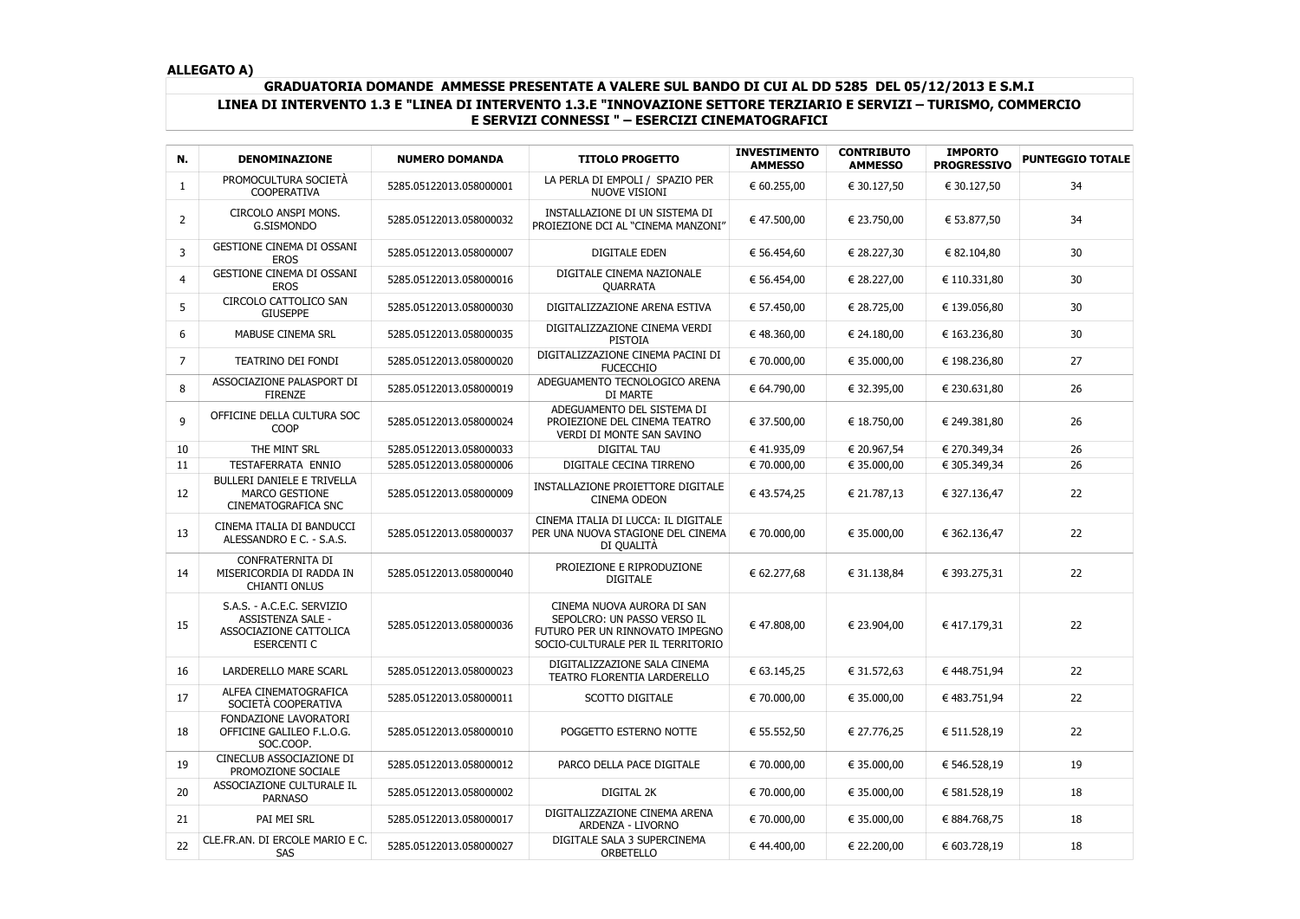## **GRADUATORIA DOMANDE AMMESSE PRESENTATE A VALERE SUL BANDO DI CUI AL DD 5285 DEL 05/12/2013 E S.M.I LINEA DI INTERVENTO 1.3 E "LINEA DI INTERVENTO 1.3.E "INNOVAZIONE SETTORE TERZIARIO E SERVIZI – TURISMO, COMMERCIO E SERVIZI CONNESSI " – ESERCIZI CINEMATOGRAFICI**

| N.             | <b>DENOMINAZIONE</b>                                                                            | <b>NUMERO DOMANDA</b>   | <b>TITOLO PROGETTO</b>                                                                                                            | <b>INVESTIMENTO</b><br><b>AMMESSO</b> | <b>CONTRIBUTO</b><br><b>AMMESSO</b> | <b>IMPORTO</b><br><b>PROGRESSIVO</b> | <b>PUNTEGGIO TOTALE</b> |
|----------------|-------------------------------------------------------------------------------------------------|-------------------------|-----------------------------------------------------------------------------------------------------------------------------------|---------------------------------------|-------------------------------------|--------------------------------------|-------------------------|
| $\mathbf{1}$   | PROMOCULTURA SOCIETÀ<br><b>COOPERATIVA</b>                                                      | 5285.05122013.058000001 | LA PERLA DI EMPOLI / SPAZIO PER<br>NUOVE VISIONI                                                                                  | € 60.255,00                           | € 30.127,50                         | € 30.127,50                          | 34                      |
| $\overline{2}$ | CIRCOLO ANSPI MONS.<br>G.SISMONDO                                                               | 5285.05122013.058000032 | INSTALLAZIONE DI UN SISTEMA DI<br>PROIEZIONE DCI AL "CINEMA MANZONI"                                                              | € 47.500,00                           | € 23.750,00                         | € 53.877,50                          | 34                      |
| 3              | <b>GESTIONE CINEMA DI OSSANI</b><br><b>EROS</b>                                                 | 5285.05122013.058000007 | <b>DIGITALE EDEN</b>                                                                                                              | € 56.454,60                           | € 28.227,30                         | € 82.104,80                          | 30                      |
| 4              | <b>GESTIONE CINEMA DI OSSANI</b><br><b>EROS</b>                                                 | 5285.05122013.058000016 | DIGITALE CINEMA NAZIONALE<br>QUARRATA                                                                                             | € 56.454,00                           | € 28.227,00                         | € 110.331,80                         | 30                      |
| 5              | CIRCOLO CATTOLICO SAN<br><b>GIUSEPPE</b>                                                        | 5285.05122013.058000030 | DIGITALIZZAZIONE ARENA ESTIVA                                                                                                     | € 57.450,00                           | € 28.725,00                         | € 139.056,80                         | 30                      |
| 6              | MABUSE CINEMA SRL                                                                               | 5285.05122013.058000035 | DIGITALIZZAZIONE CINEMA VERDI<br><b>PISTOIA</b>                                                                                   | € 48.360,00                           | € 24.180,00                         | € 163.236,80                         | 30                      |
| $\overline{7}$ | TEATRINO DEI FONDI                                                                              | 5285.05122013.058000020 | DIGITALIZZAZIONE CINEMA PACINI DI<br><b>FUCECCHIO</b>                                                                             | € 70.000,00                           | € 35.000,00                         | € 198.236,80                         | 27                      |
| 8              | ASSOCIAZIONE PALASPORT DI<br><b>FIRENZE</b>                                                     | 5285.05122013.058000019 | ADEGUAMENTO TECNOLOGICO ARENA<br>DI MARTE                                                                                         | € 64.790,00                           | € 32.395,00                         | € 230.631,80                         | 26                      |
| 9              | OFFICINE DELLA CULTURA SOC<br><b>COOP</b>                                                       | 5285.05122013.058000024 | ADEGUAMENTO DEL SISTEMA DI<br>PROIEZIONE DEL CINEMA TEATRO<br>VERDI DI MONTE SAN SAVINO                                           | € 37.500,00                           | € 18.750,00                         | € 249.381,80                         | 26                      |
| 10             | THE MINT SRL                                                                                    | 5285.05122013.058000033 | <b>DIGITAL TAU</b>                                                                                                                | € 41.935,09                           | € 20.967,54                         | € 270.349,34                         | 26                      |
| 11             | TESTAFERRATA ENNIO                                                                              | 5285.05122013.058000006 | DIGITALE CECINA TIRRENO                                                                                                           | € 70.000,00                           | € 35.000,00                         | € 305.349,34                         | 26                      |
| 12             | <b>BULLERI DANIELE E TRIVELLA</b><br>MARCO GESTIONE<br><b>CINEMATOGRAFICA SNC</b>               | 5285.05122013.058000009 | INSTALLAZIONE PROIETTORE DIGITALE<br><b>CINEMA ODEON</b>                                                                          | € 43.574,25                           | € 21.787,13                         | € 327.136,47                         | 22                      |
| 13             | CINEMA ITALIA DI BANDUCCI<br>ALESSANDRO E C. - S.A.S.                                           | 5285.05122013.058000037 | CINEMA ITALIA DI LUCCA: IL DIGITALE<br>PER UNA NUOVA STAGIONE DEL CINEMA<br>DI QUALITÀ                                            | € 70.000,00                           | € 35.000,00                         | € 362.136,47                         | 22                      |
| 14             | CONFRATERNITA DI<br>MISERICORDIA DI RADDA IN<br><b>CHIANTI ONLUS</b>                            | 5285.05122013.058000040 | PROIEZIONE E RIPRODUZIONE<br><b>DIGITALE</b>                                                                                      | € 62.277,68                           | € 31.138,84                         | € 393.275,31                         | 22                      |
| 15             | S.A.S. - A.C.E.C. SERVIZIO<br>ASSISTENZA SALE -<br>ASSOCIAZIONE CATTOLICA<br><b>ESERCENTI C</b> | 5285.05122013.058000036 | CINEMA NUOVA AURORA DI SAN<br>SEPOLCRO: UN PASSO VERSO IL<br>FUTURO PER UN RINNOVATO IMPEGNO<br>SOCIO-CULTURALE PER IL TERRITORIO | € 47.808,00                           | € 23.904,00                         | € 417.179,31                         | 22                      |
| 16             | LARDERELLO MARE SCARL                                                                           | 5285.05122013.058000023 | DIGITALIZZAZIONE SALA CINEMA<br>TEATRO FLORENTIA LARDERELLO                                                                       | € 63.145,25                           | € 31.572,63                         | € 448.751,94                         | 22                      |
| 17             | ALFEA CINEMATOGRAFICA<br>SOCIETÀ COOPERATIVA                                                    | 5285.05122013.058000011 | SCOTTO DIGITALE                                                                                                                   | € 70.000,00                           | € 35.000,00                         | € 483.751,94                         | 22                      |
| 18             | FONDAZIONE LAVORATORI<br>OFFICINE GALILEO F.L.O.G.<br>SOC.COOP.                                 | 5285.05122013.058000010 | POGGETTO ESTERNO NOTTE                                                                                                            | € 55.552,50                           | € 27.776,25                         | € 511.528,19                         | 22                      |
| 19             | CINECLUB ASSOCIAZIONE DI<br>PROMOZIONE SOCIALE                                                  | 5285.05122013.058000012 | PARCO DELLA PACE DIGITALE                                                                                                         | € 70.000,00                           | € 35.000,00                         | € 546.528,19                         | 19                      |
| 20             | ASSOCIAZIONE CULTURALE IL<br><b>PARNASO</b>                                                     | 5285.05122013.058000002 | DIGITAL 2K                                                                                                                        | € 70.000,00                           | € 35.000,00                         | € 581.528,19                         | 18                      |
| 21             | PAI MEI SRL                                                                                     | 5285.05122013.058000017 | DIGITALIZZAZIONE CINEMA ARENA<br>ARDENZA - LIVORNO                                                                                | € 70.000,00                           | € 35.000,00                         | € 884.768,75                         | 18                      |
| 22             | CLE.FR.AN. DI ERCOLE MARIO E C.<br>SAS                                                          | 5285.05122013.058000027 | DIGITALE SALA 3 SUPERCINEMA<br>ORBETELLO                                                                                          | € 44.400,00                           | € 22.200,00                         | € 603.728,19                         | 18                      |